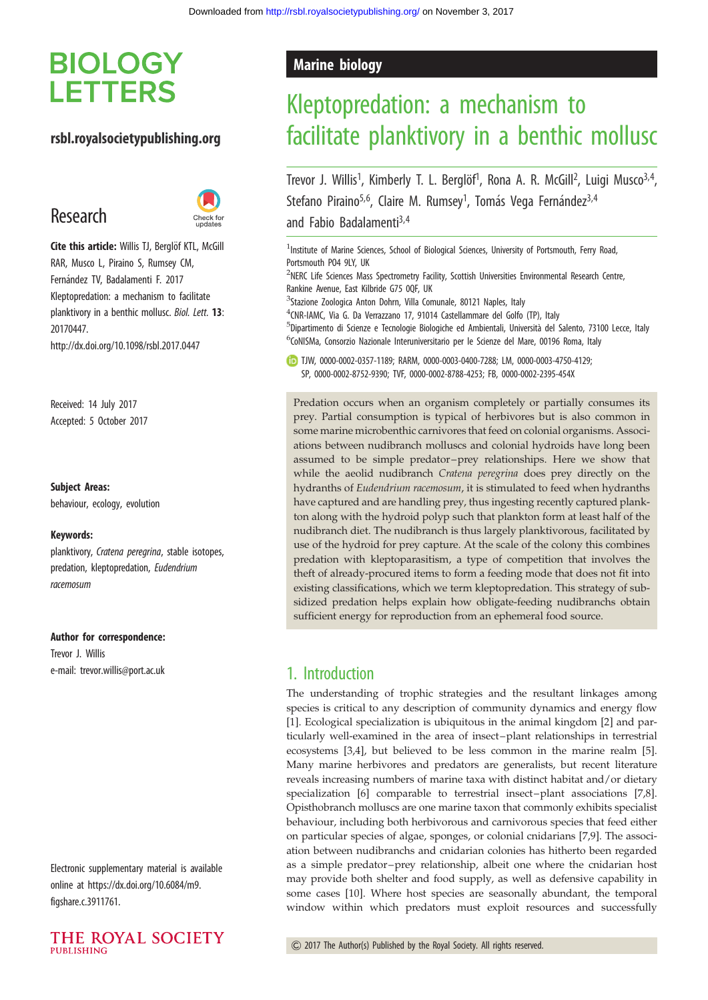# **BIOLOGY LETTERS**

#### rsbl.royalsocietypublishing.org

# Research



Cite this article: Willis TJ, Berglöf KTL, McGill RAR, Musco L, Piraino S, Rumsey CM, Fernández TV, Badalamenti F. 2017 Kleptopredation: a mechanism to facilitate planktivory in a benthic mollusc. Biol. Lett. 13: 20170447. http://dx.doi.org/10.1098/rsbl.2017.0447

Received: 14 July 2017 Accepted: 5 October 2017

#### Subject Areas:

behaviour, ecology, evolution

#### Keywords:

planktivory, Cratena peregrina, stable isotopes, predation, kleptopredation, Eudendrium racemosum

#### Author for correspondence:

Trevor J. Willis e-mail: [trevor.willis@port.ac.uk](mailto:trevor.willis@port.ac.uk)

Electronic supplementary material is available online at [https://dx.doi.org/10.6084/m9.](https://dx.doi.org/10.6084/m9.figshare.c.3911761) [figshare.c.3911761](https://dx.doi.org/10.6084/m9.figshare.c.3911761).



## Marine biology

# Kleptopredation: a mechanism to facilitate planktivory in a benthic mollusc

Trevor J. Willis<sup>1</sup>, Kimberly T. L. Berglöf<sup>1</sup>, Rona A. R. McGill<sup>2</sup>, Luigi Musco<sup>3,4</sup>, Stefano Piraino<sup>5,6</sup>, Claire M. Rumsey<sup>1</sup>, Tomás Vega Fernández<sup>3,4</sup> and Fabio Badalamenti<sup>3,4</sup>

<sup>1</sup>Institute of Marine Sciences, School of Biological Sciences, University of Portsmouth, Ferry Road, Portsmouth PO4 9LY, UK

<sup>2</sup>NERC Life Sciences Mass Spectrometry Facility, Scottish Universities Environmental Research Centre, Rankine Avenue, East Kilbride G75 0QF, UK

<sup>3</sup>Stazione Zoologica Anton Dohrn, Villa Comunale, 80121 Naples, Italy

<sup>4</sup>CNR-IAMC, Via G. Da Verrazzano 17, 91014 Castellammare del Golfo (TP), Italy

<sup>5</sup>Dipartimento di Scienze e Tecnologie Biologiche ed Ambientali, Università del Salento, 73100 Lecce, Italy 6 CoNISMa, Consorzio Nazionale Interuniversitario per le Scienze del Mare, 00196 Roma, Italy

TJW, [0000-0002-0357-1189](http://orcid.org/0000-0002-0357-1189); RARM, [0000-0003-0400-7288](http://orcid.org/0000-0003-0400-7288); LM, [0000-0003-4750-4129](http://orcid.org/0000-0003-4750-4129); SP, [0000-0002-8752-9390;](http://orcid.org/0000-0002-8752-9390) TVF, [0000-0002-8788-4253;](http://orcid.org/0000-0002-8788-4253) FB, [0000-0002-2395-454X](http://orcid.org/0000-0002-2395-454X)

Predation occurs when an organism completely or partially consumes its prey. Partial consumption is typical of herbivores but is also common in some marine microbenthic carnivores that feed on colonial organisms. Associations between nudibranch molluscs and colonial hydroids have long been assumed to be simple predator –prey relationships. Here we show that while the aeolid nudibranch Cratena peregrina does prey directly on the hydranths of Eudendrium racemosum, it is stimulated to feed when hydranths have captured and are handling prey, thus ingesting recently captured plankton along with the hydroid polyp such that plankton form at least half of the nudibranch diet. The nudibranch is thus largely planktivorous, facilitated by use of the hydroid for prey capture. At the scale of the colony this combines predation with kleptoparasitism, a type of competition that involves the theft of already-procured items to form a feeding mode that does not fit into existing classifications, which we term kleptopredation. This strategy of subsidized predation helps explain how obligate-feeding nudibranchs obtain sufficient energy for reproduction from an ephemeral food source.

## 1. Introduction

The understanding of trophic strategies and the resultant linkages among species is critical to any description of community dynamics and energy flow [[1](#page-3-0)]. Ecological specialization is ubiquitous in the animal kingdom [\[2\]](#page-3-0) and particularly well-examined in the area of insect–plant relationships in terrestrial ecosystems [\[3,4](#page-3-0)], but believed to be less common in the marine realm [\[5\]](#page-3-0). Many marine herbivores and predators are generalists, but recent literature reveals increasing numbers of marine taxa with distinct habitat and/or dietary specialization [\[6\]](#page-3-0) comparable to terrestrial insect–plant associations [\[7,8\]](#page-3-0). Opisthobranch molluscs are one marine taxon that commonly exhibits specialist behaviour, including both herbivorous and carnivorous species that feed either on particular species of algae, sponges, or colonial cnidarians [[7](#page-3-0),[9](#page-3-0)]. The association between nudibranchs and cnidarian colonies has hitherto been regarded as a simple predator –prey relationship, albeit one where the cnidarian host may provide both shelter and food supply, as well as defensive capability in some cases [\[10](#page-3-0)]. Where host species are seasonally abundant, the temporal window within which predators must exploit resources and successfully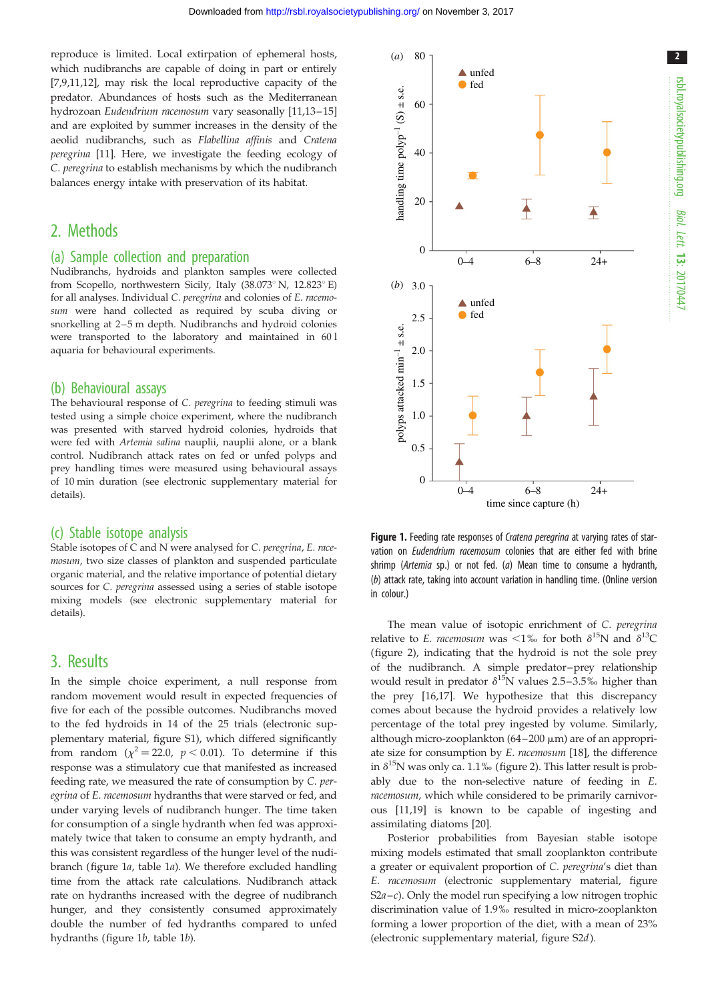2

<span id="page-1-0"></span>reproduce is limited. Local extirpation of ephemeral hosts, which nudibranchs are capable of doing in part or entirely [\[7,9](#page-3-0),[11,12\]](#page-3-0), may risk the local reproductive capacity of the predator. Abundances of hosts such as the Mediterranean hydrozoan Eudendrium racemosum vary seasonally [\[11](#page-3-0),[13](#page-3-0)–[15\]](#page-3-0) and are exploited by summer increases in the density of the aeolid nudibranchs, such as Flabellina affinis and Cratena peregrina [[11\]](#page-3-0). Here, we investigate the feeding ecology of C. peregrina to establish mechanisms by which the nudibranch balances energy intake with preservation of its habitat.

## 2. Methods

#### (a) Sample collection and preparation

Nudibranchs, hydroids and plankton samples were collected from Scopello, northwestern Sicily, Italy  $(38.073^{\circ} \text{ N}, 12.823^{\circ} \text{ E})$ for all analyses. Individual C. peregrina and colonies of E. racemosum were hand collected as required by scuba diving or snorkelling at 2-5 m depth. Nudibranchs and hydroid colonies were transported to the laboratory and maintained in 60 l aquaria for behavioural experiments.

#### (b) Behavioural assays

The behavioural response of C. peregrina to feeding stimuli was tested using a simple choice experiment, where the nudibranch was presented with starved hydroid colonies, hydroids that were fed with Artemia salina nauplii, nauplii alone, or a blank control. Nudibranch attack rates on fed or unfed polyps and prey handling times were measured using behavioural assays of 10 min duration (see electronic supplementary material for details).

#### (c) Stable isotope analysis

Stable isotopes of C and N were analysed for C. peregrina, E. racemosum, two size classes of plankton and suspended particulate organic material, and the relative importance of potential dietary sources for C. peregrina assessed using a series of stable isotope mixing models (see electronic supplementary material for details).

### 3. Results

In the simple choice experiment, a null response from random movement would result in expected frequencies of five for each of the possible outcomes. Nudibranchs moved to the fed hydroids in 14 of the 25 trials (electronic supplementary material, figure S1), which differed significantly from random ( $\chi^2$  = 22.0,  $p$  < 0.01). To determine if this response was a stimulatory cue that manifested as increased feeding rate, we measured the rate of consumption by C. peregrina of E. racemosum hydranths that were starved or fed, and under varying levels of nudibranch hunger. The time taken for consumption of a single hydranth when fed was approximately twice that taken to consume an empty hydranth, and this was consistent regardless of the hunger level of the nudibranch (figure 1a, [table 1](#page-2-0)a). We therefore excluded handling time from the attack rate calculations. Nudibranch attack rate on hydranths increased with the degree of nudibranch hunger, and they consistently consumed approximately double the number of fed hydranths compared to unfed hydranths (figure 1b, [table 1](#page-2-0)b).



Figure 1. Feeding rate responses of Cratena peregrina at varying rates of starvation on Eudendrium racemosum colonies that are either fed with brine shrimp (Artemia sp.) or not fed. (a) Mean time to consume a hydranth, (b) attack rate, taking into account variation in handling time. (Online version in colour.)

The mean value of isotopic enrichment of C. peregrina relative to *E. racemosum* was <1‰ for both  $\delta^{15}N$  and  $\delta^{13}C$ ([figure 2](#page-2-0)), indicating that the hydroid is not the sole prey of the nudibranch. A simple predator –prey relationship would result in predator  $\delta^{15}N$  values 2.5–3.5‰ higher than the prey [[16,17\]](#page-3-0). We hypothesize that this discrepancy comes about because the hydroid provides a relatively low percentage of the total prey ingested by volume. Similarly, although micro-zooplankton  $(64 - 200 \mu m)$  are of an appropriate size for consumption by E. racemosum [[18\]](#page-3-0), the difference in  $\delta^{15}N$  was only ca. 1.1‰ ([figure 2](#page-2-0)). This latter result is probably due to the non-selective nature of feeding in E. racemosum, which while considered to be primarily carnivorous [[11](#page-3-0),[19\]](#page-3-0) is known to be capable of ingesting and assimilating diatoms [[20\]](#page-3-0).

Posterior probabilities from Bayesian stable isotope mixing models estimated that small zooplankton contribute a greater or equivalent proportion of C. peregrina's diet than E. racemosum (electronic supplementary material, figure S2a–c). Only the model run specifying a low nitrogen trophic discrimination value of 1.9‰ resulted in micro-zooplankton forming a lower proportion of the diet, with a mean of 23% (electronic supplementary material, figure S2d).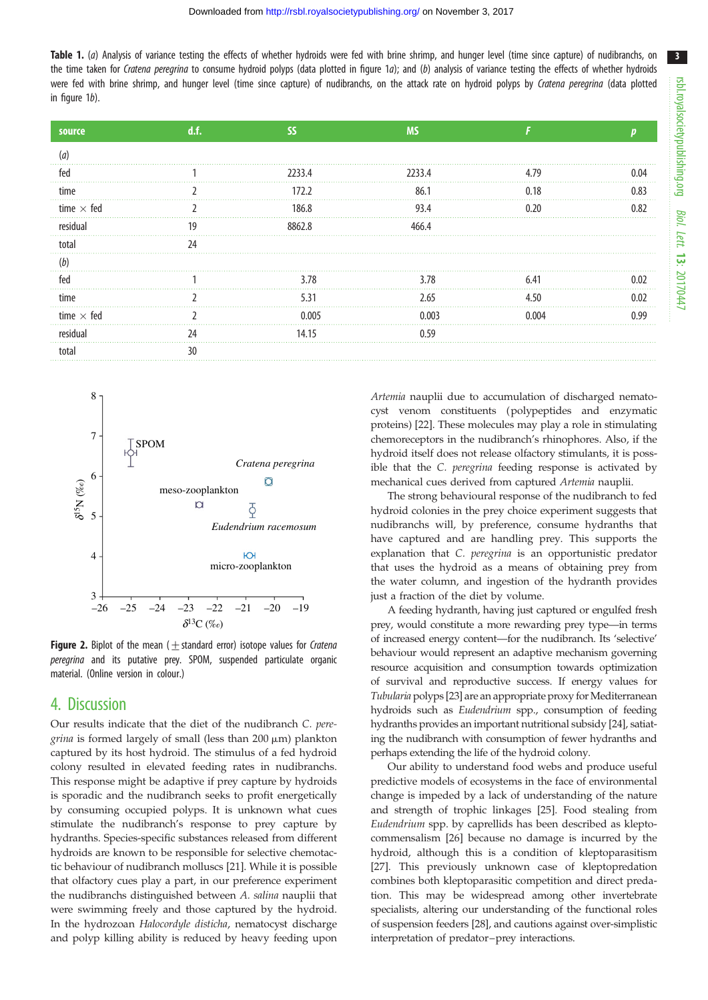3

<span id="page-2-0"></span>Table 1. (a) Analysis of variance testing the effects of whether hydroids were fed with brine shrimp, and hunger level (time since capture) of nudibranchs, on the time taken for Cratena peregrina to consume hydroid polyps (data plotted in [figure 1](#page-1-0)a); and (b) analysis of variance testing the effects of whether hydroids were fed with brine shrimp, and hunger level (time since capture) of nudibranchs, on the attack rate on hydroid polyps by Cratena peregrina (data plotted in [figure 1](#page-1-0)b).

| source            |       |        |      |  |
|-------------------|-------|--------|------|--|
|                   |       |        |      |  |
|                   |       | 7733 A |      |  |
|                   | 172.2 |        |      |  |
| time $\times$ fed |       |        | 0 20 |  |
|                   |       |        |      |  |
| tota              |       |        |      |  |
|                   |       |        |      |  |
|                   | 3.78  | 3.78   | 6.41 |  |
|                   | 5.31  | 2.65   |      |  |
| time $\times$ fed |       |        |      |  |
|                   | 14.15 |        |      |  |
|                   |       |        |      |  |



Figure 2. Biplot of the mean ( $\pm$  standard error) isotope values for Cratena peregrina and its putative prey. SPOM, suspended particulate organic material. (Online version in colour.)

### 4. Discussion

Our results indicate that the diet of the nudibranch C. pere*grina* is formed largely of small (less than  $200 \mu m$ ) plankton captured by its host hydroid. The stimulus of a fed hydroid colony resulted in elevated feeding rates in nudibranchs. This response might be adaptive if prey capture by hydroids is sporadic and the nudibranch seeks to profit energetically by consuming occupied polyps. It is unknown what cues stimulate the nudibranch's response to prey capture by hydranths. Species-specific substances released from different hydroids are known to be responsible for selective chemotactic behaviour of nudibranch molluscs [\[21](#page-3-0)]. While it is possible that olfactory cues play a part, in our preference experiment the nudibranchs distinguished between A. salina nauplii that were swimming freely and those captured by the hydroid. In the hydrozoan Halocordyle disticha, nematocyst discharge and polyp killing ability is reduced by heavy feeding upon

Artemia nauplii due to accumulation of discharged nematocyst venom constituents (polypeptides and enzymatic proteins) [[22\]](#page-3-0). These molecules may play a role in stimulating chemoreceptors in the nudibranch's rhinophores. Also, if the hydroid itself does not release olfactory stimulants, it is possible that the C. peregrina feeding response is activated by mechanical cues derived from captured Artemia nauplii.

The strong behavioural response of the nudibranch to fed hydroid colonies in the prey choice experiment suggests that nudibranchs will, by preference, consume hydranths that have captured and are handling prey. This supports the explanation that C. peregrina is an opportunistic predator that uses the hydroid as a means of obtaining prey from the water column, and ingestion of the hydranth provides just a fraction of the diet by volume.

A feeding hydranth, having just captured or engulfed fresh prey, would constitute a more rewarding prey type—in terms of increased energy content—for the nudibranch. Its 'selective' behaviour would represent an adaptive mechanism governing resource acquisition and consumption towards optimization of survival and reproductive success. If energy values for Tubularia polyps [[23](#page-3-0)] are an appropriate proxy for Mediterranean hydroids such as Eudendrium spp., consumption of feeding hydranths provides an important nutritional subsidy [[24](#page-3-0)], satiating the nudibranch with consumption of fewer hydranths and perhaps extending the life of the hydroid colony.

Our ability to understand food webs and produce useful predictive models of ecosystems in the face of environmental change is impeded by a lack of understanding of the nature and strength of trophic linkages [[25\]](#page-3-0). Food stealing from Eudendrium spp. by caprellids has been described as kleptocommensalism [[26\]](#page-3-0) because no damage is incurred by the hydroid, although this is a condition of kleptoparasitism [[27\]](#page-3-0). This previously unknown case of kleptopredation combines both kleptoparasitic competition and direct predation. This may be widespread among other invertebrate specialists, altering our understanding of the functional roles of suspension feeders [\[28](#page-3-0)], and cautions against over-simplistic interpretation of predator–prey interactions.